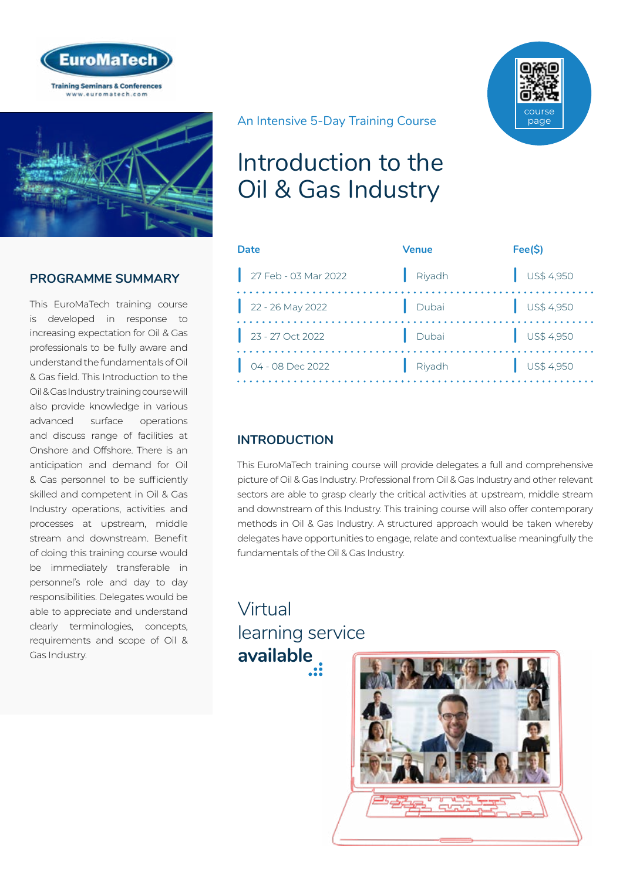



## **PROGRAMME SUMMARY**

This EuroMaTech training course is developed in response to increasing expectation for Oil & Gas professionals to be fully aware and understand the fundamentals of Oil & Gas field. This Introduction to the Oil & Gas Industry training course will also provide knowledge in various advanced surface operations and discuss range of facilities at Onshore and Offshore. There is an anticipation and demand for Oil & Gas personnel to be sufficiently skilled and competent in Oil & Gas Industry operations, activities and processes at upstream, middle stream and downstream. Benefit of doing this training course would be immediately transferable in personnel's role and day to day responsibilities. Delegates would be able to appreciate and understand clearly terminologies, concepts, requirements and scope of Oil & Gas Industry.

## An Intensive 5-Day Training Course

# Introduction to the Oil & Gas Industry

| Date                       | <b>Venue</b> | Fee(S)                   |
|----------------------------|--------------|--------------------------|
| 27 Feb - 03 Mar 2022       | Riyadh       | $\bigcup$ US\$ 4,950     |
| $22 - 26$ May 2022         | Dubai        | $\bigcup$ US\$ 4,950     |
| $23 - 27$ Oct 2022         | Dubai        | $\frac{1}{2}$ US\$ 4,950 |
| $\bigcup$ 04 - 08 Dec 2022 | Riyadh       | $\bigcup$ US\$ 4,950     |

## **INTRODUCTION**

This EuroMaTech training course will provide delegates a full and comprehensive picture of Oil & Gas Industry. Professional from Oil & Gas Industry and other relevant sectors are able to grasp clearly the critical activities at upstream, middle stream and downstream of this Industry. This training course will also offer contemporary methods in Oil & Gas Industry. A structured approach would be taken whereby delegates have opportunities to engage, relate and contextualise meaningfully the fundamentals of the Oil & Gas Industry.

# Virtual [learning service](https://www.euromatech.com/seminars/introduction-to-the-oil-gas-industry-1/)  **available**



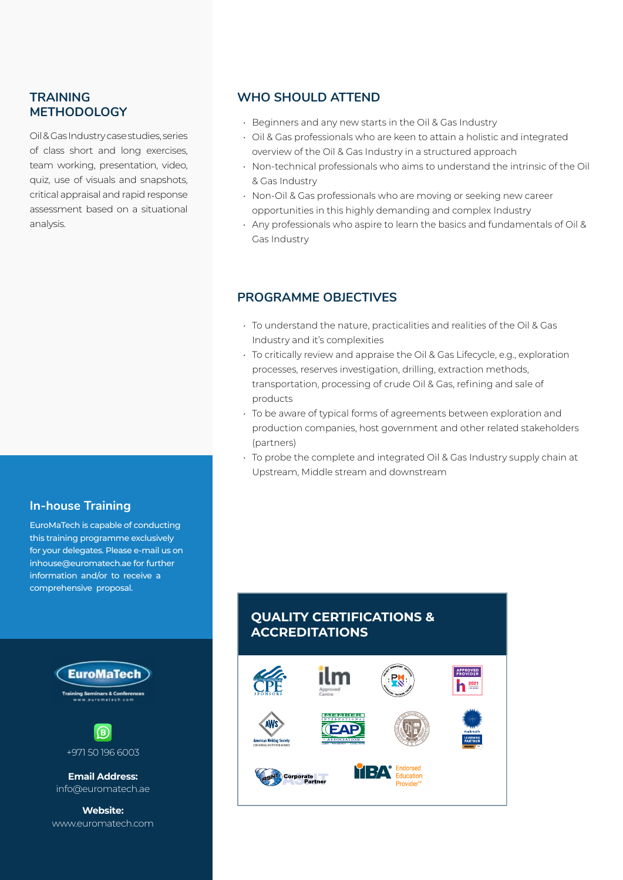#### **TRAINING METHODOLOGY**

Oil & Gas Industry case studies, series of class short and long exercises, team working, presentation, video, quiz, use of visuals and snapshots, critical appraisal and rapid response assessment based on a situational analysis.

#### **In-house Training**

EuroMaTech is capable of conducting this training programme exclusively for your delegates. Please e-mail us on inhouse@euromatech.ae for further information and/or to receive a comprehensive proposal.



 $\left( \mathbf{B}\right)$ +971 50 196 6003

**Email Address:** info@euromatech.ae

**Website:** www.euromatech.com

#### **WHO SHOULD ATTEND**

- Beginners and any new starts in the Oil & Gas Industry
- Oil & Gas professionals who are keen to attain a holistic and integrated overview of the Oil & Gas Industry in a structured approach
- Non-technical professionals who aims to understand the intrinsic of the Oil & Gas Industry
- Non-Oil & Gas professionals who are moving or seeking new career opportunities in this highly demanding and complex Industry
- Any professionals who aspire to learn the basics and fundamentals of Oil & Gas Industry

#### **PROGRAMME OBJECTIVES**

- To understand the nature, practicalities and realities of the Oil & Gas Industry and it's complexities
- To critically review and appraise the Oil & Gas Lifecycle, e.g., exploration processes, reserves investigation, drilling, extraction methods, transportation, processing of crude Oil & Gas, refining and sale of products
- To be aware of typical forms of agreements between exploration and production companies, host government and other related stakeholders (partners)
- To probe the complete and integrated Oil & Gas Industry supply chain at Upstream, Middle stream and downstream

## **QUALITY CERTIFICATIONS & ACCREDITATIONS**

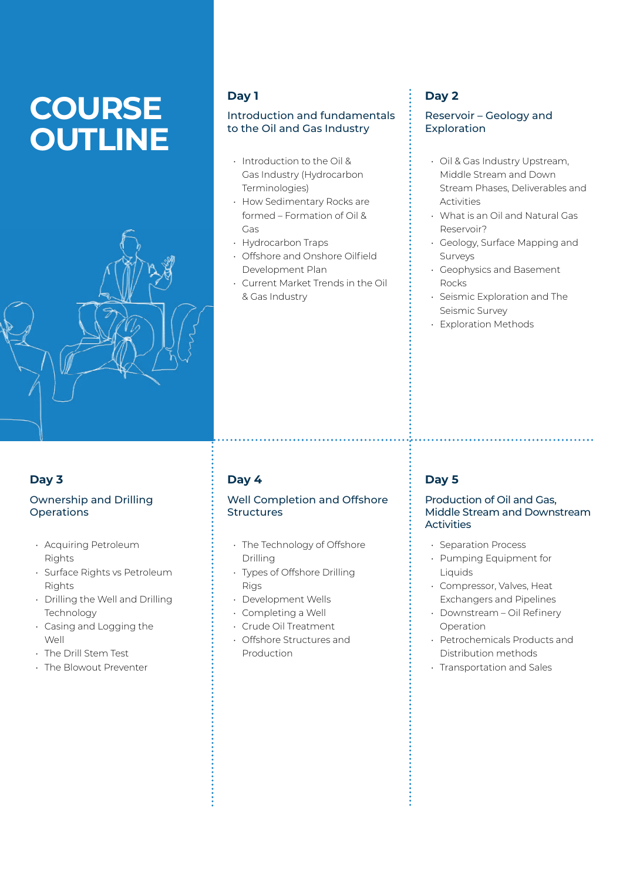# **COURSE OUTLINE**



## **Day 1**

#### Introduction and fundamentals to the Oil and Gas Industry

- Introduction to the Oil & Gas Industry (Hydrocarbon Terminologies)
- How Sedimentary Rocks are formed – Formation of Oil & Gas
- Hydrocarbon Traps
- Offshore and Onshore Oilfield Development Plan
- Current Market Trends in the Oil & Gas Industry

## **Day 2**

#### Reservoir – Geology and Exploration

- Oil & Gas Industry Upstream, Middle Stream and Down Stream Phases, Deliverables and Activities
- What is an Oil and Natural Gas Reservoir?
- Geology, Surface Mapping and Surveys
- Geophysics and Basement Rocks
- Seismic Exploration and The Seismic Survey
- Exploration Methods

## **Day 3**

#### Ownership and Drilling **Operations**

- Acquiring Petroleum Rights
- Surface Rights vs Petroleum Rights
- Drilling the Well and Drilling **Technology**
- Casing and Logging the Well
- The Drill Stem Test
- The Blowout Preventer

## **Day 4**

#### Well Completion and Offshore **Structures**

- The Technology of Offshore Drilling
- Types of Offshore Drilling Rigs
- Development Wells
- Completing a Well
- Crude Oil Treatment
- Offshore Structures and Production

## **Day 5**

#### Production of Oil and Gas, Middle Stream and Downstream **Activities**

- Separation Process
- Pumping Equipment for Liquids
- Compressor, Valves, Heat Exchangers and Pipelines
- Downstream Oil Refinery Operation
- Petrochemicals Products and Distribution methods
- Transportation and Sales